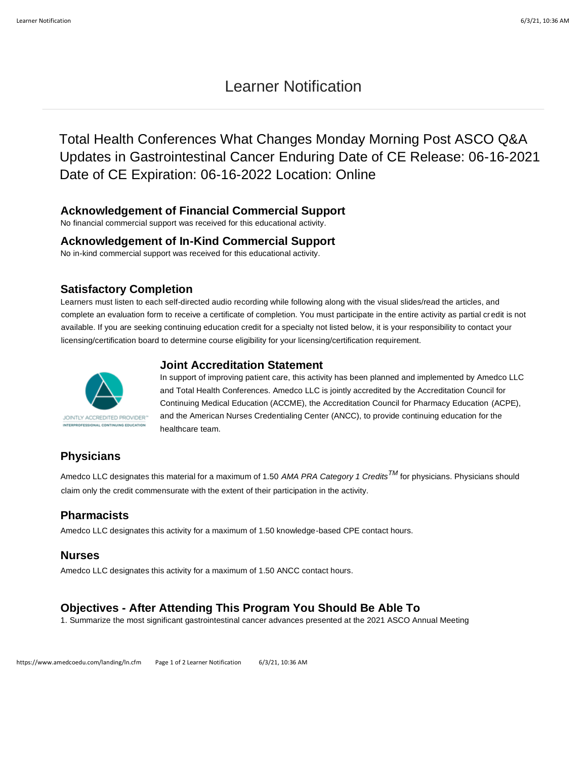# Learner Notification

Total Health Conferences What Changes Monday Morning Post ASCO Q&A Updates in Gastrointestinal Cancer Enduring Date of CE Release: 06-16-2021 Date of CE Expiration: 06-16-2022 Location: Online

#### **Acknowledgement of Financial Commercial Support**

No financial commercial support was received for this educational activity.

#### **Acknowledgement of In-Kind Commercial Support**

No in-kind commercial support was received for this educational activity.

#### **Satisfactory Completion**

Learners must listen to each self-directed audio recording while following along with the visual slides/read the articles, and complete an evaluation form to receive a certificate of completion. You must participate in the entire activity as partial credit is not available. If you are seeking continuing education credit for a specialty not listed below, it is your responsibility to contact your licensing/certification board to determine course eligibility for your licensing/certification requirement.





In support of improving patient care, this activity has been planned and implemented by Amedco LLC and Total Health Conferences. Amedco LLC is jointly accredited by the Accreditation Council for Continuing Medical Education (ACCME), the Accreditation Council for Pharmacy Education (ACPE), and the American Nurses Credentialing Center (ANCC), to provide continuing education for the healthcare team.

# **Physicians**

Amedco LLC designates this material for a maximum of 1.50 *AMA PRA Category 1 CreditsTM* for physicians. Physicians should claim only the credit commensurate with the extent of their participation in the activity.

#### **Pharmacists**

Amedco LLC designates this activity for a maximum of 1.50 knowledge-based CPE contact hours.

#### **Nurses**

Amedco LLC designates this activity for a maximum of 1.50 ANCC contact hours.

# **Objectives - After Attending This Program You Should Be Able To**

1. Summarize the most significant gastrointestinal cancer advances presented at the 2021 ASCO Annual Meeting